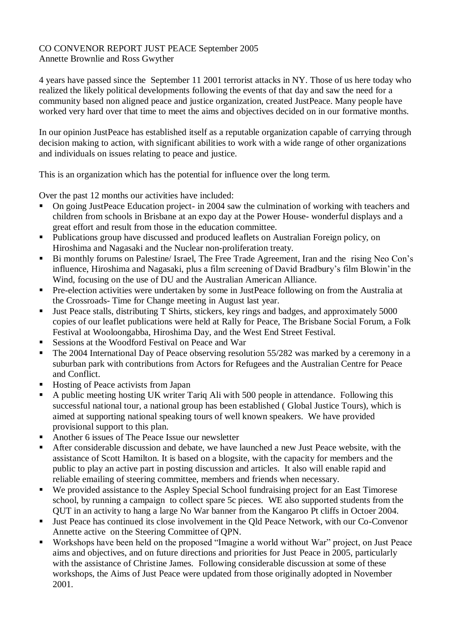## CO CONVENOR REPORT JUST PEACE September 2005 Annette Brownlie and Ross Gwyther

4 years have passed since the September 11 2001 terrorist attacks in NY. Those of us here today who realized the likely political developments following the events of that day and saw the need for a community based non aligned peace and justice organization, created JustPeace. Many people have worked very hard over that time to meet the aims and objectives decided on in our formative months.

In our opinion JustPeace has established itself as a reputable organization capable of carrying through decision making to action, with significant abilities to work with a wide range of other organizations and individuals on issues relating to peace and justice.

This is an organization which has the potential for influence over the long term.

Over the past 12 months our activities have included:

- On going JustPeace Education project- in 2004 saw the culmination of working with teachers and children from schools in Brisbane at an expo day at the Power House- wonderful displays and a great effort and result from those in the education committee.
- Publications group have discussed and produced leaflets on Australian Foreign policy, on Hiroshima and Nagasaki and the Nuclear non-proliferation treaty.
- Bi monthly forums on Palestine/ Israel, The Free Trade Agreement, Iran and the rising Neo Con's influence, Hiroshima and Nagasaki, plus a film screening of David Bradbury's film Blowin'in the Wind, focusing on the use of DU and the Australian American Alliance.
- **Pre-election activities were undertaken by some in JustPeace following on from the Australia at** the Crossroads- Time for Change meeting in August last year.
- Uust Peace stalls, distributing T Shirts, stickers, key rings and badges, and approximately 5000 copies of our leaflet publications were held at Rally for Peace, The Brisbane Social Forum, a Folk Festival at Wooloongabba, Hiroshima Day, and the West End Street Festival.
- Sessions at the Woodford Festival on Peace and War
- The 2004 International Day of Peace observing resolution 55/282 was marked by a ceremony in a suburban park with contributions from Actors for Refugees and the Australian Centre for Peace and Conflict.
- Hosting of Peace activists from Japan
- A public meeting hosting UK writer Tariq Ali with 500 people in attendance. Following this successful national tour, a national group has been established ( Global Justice Tours), which is aimed at supporting national speaking tours of well known speakers. We have provided provisional support to this plan.
- Another 6 issues of The Peace Issue our newsletter
- After considerable discussion and debate, we have launched a new Just Peace website, with the assistance of Scott Hamilton. It is based on a blogsite, with the capacity for members and the public to play an active part in posting discussion and articles. It also will enable rapid and reliable emailing of steering committee, members and friends when necessary.
- We provided assistance to the Aspley Special School fundraising project for an East Timorese school, by running a campaign to collect spare 5c pieces. WE also supported students from the QUT in an activity to hang a large No War banner from the Kangaroo Pt cliffs in Octoer 2004.
- Just Peace has continued its close involvement in the Qld Peace Network, with our Co-Convenor Annette active on the Steering Committee of QPN.
- Workshops have been held on the proposed "Imagine a world without War" project, on Just Peace aims and objectives, and on future directions and priorities for Just Peace in 2005, particularly with the assistance of Christine James. Following considerable discussion at some of these workshops, the Aims of Just Peace were updated from those originally adopted in November 2001.